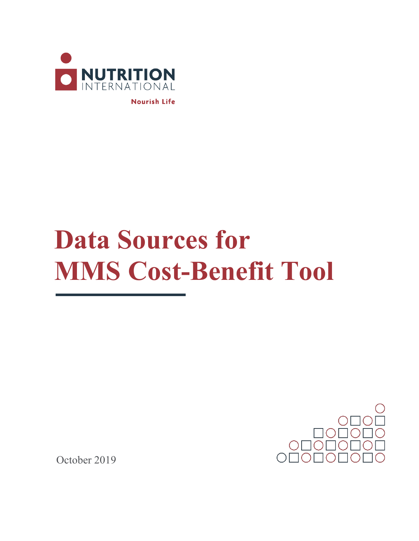

**Nourish Life** 

## **Data Sources for MMS Cost-Benefit Tool**



October 2019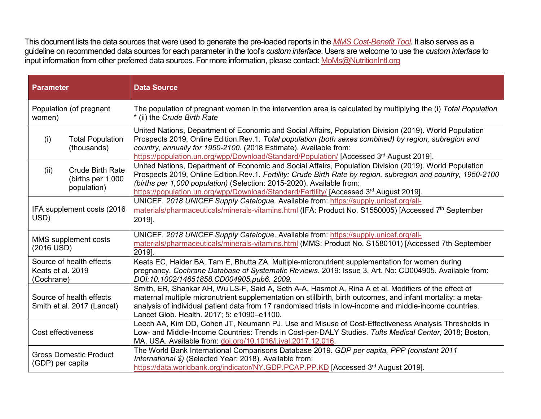This document lists the data sources that were used to generate the pre-loaded reports in the *[MMS Cost-Benefit Tool](http://www.nutritionintl.org/mms-cost-benefit-tool/)*. It also serves as a guideline on recommended data sources for each parameter in the tool's *custom interface*. Users are welcome to use the *custom interface* to input information from other preferred data sources. For more information, please contact: [MoMs@NutritionIntl.org](mailto:MoMs@NutritionIntl.org)

| <b>Parameter</b>                                                    | <b>Data Source</b>                                                                                                                                                                                                                                                                                                                                                                           |
|---------------------------------------------------------------------|----------------------------------------------------------------------------------------------------------------------------------------------------------------------------------------------------------------------------------------------------------------------------------------------------------------------------------------------------------------------------------------------|
| Population (of pregnant<br>women)                                   | The population of pregnant women in the intervention area is calculated by multiplying the (i) Total Population<br>* (ii) the Crude Birth Rate                                                                                                                                                                                                                                               |
| <b>Total Population</b><br>(i)<br>(thousands)                       | United Nations, Department of Economic and Social Affairs, Population Division (2019). World Population<br>Prospects 2019, Online Edition.Rev.1. Total population (both sexes combined) by region, subregion and<br>country, annually for 1950-2100. (2018 Estimate). Available from:<br>https://population.un.org/wpp/Download/Standard/Population/ [Accessed 3rd August 2019].             |
| <b>Crude Birth Rate</b><br>(ii)<br>(births per 1,000<br>population) | United Nations, Department of Economic and Social Affairs, Population Division (2019). World Population<br>Prospects 2019, Online Edition. Rev.1. Fertility: Crude Birth Rate by region, subregion and country, 1950-2100<br>(births per 1,000 population) (Selection: 2015-2020). Available from:<br>https://population.un.org/wpp/Download/Standard/Fertility/ [Accessed 3rd August 2019]. |
| IFA supplement costs (2016)<br>USD)                                 | UNICEF. 2018 UNICEF Supply Catalogue. Available from: https://supply.unicef.org/all-<br>materials/pharmaceuticals/minerals-vitamins.html (IFA: Product No. S1550005) [Accessed 7 <sup>th</sup> September<br>2019].                                                                                                                                                                           |
| MMS supplement costs<br>$(2016$ USD)                                | UNICEF. 2018 UNICEF Supply Catalogue. Available from: https://supply.unicef.org/all-<br>materials/pharmaceuticals/minerals-vitamins.html (MMS: Product No. S1580101) [Accessed 7th September<br>2019].                                                                                                                                                                                       |
| Source of health effects<br>Keats et al. 2019<br>(Cochrane)         | Keats EC, Haider BA, Tam E, Bhutta ZA. Multiple-micronutrient supplementation for women during<br>pregnancy. Cochrane Database of Systematic Reviews. 2019: Issue 3. Art. No: CD004905. Available from:<br>DOI:10.1002/14651858.CD004905.pub6._2009.                                                                                                                                         |
| Source of health effects<br>Smith et al. 2017 (Lancet)              | Smith, ER, Shankar AH, Wu LS-F, Said A, Seth A-A, Hasmot A, Rina A et al. Modifiers of the effect of<br>maternal multiple micronutrient supplementation on stillbirth, birth outcomes, and infant mortality: a meta-<br>analysis of individual patient data from 17 randomised trials in low-income and middle-income countries.<br>Lancet Glob. Health. 2017; 5: e1090-e1100.               |
| Cost effectiveness                                                  | Leech AA, Kim DD, Cohen JT, Neumann PJ. Use and Misuse of Cost-Effectiveness Analysis Thresholds in<br>Low- and Middle-Income Countries: Trends in Cost-per-DALY Studies. Tufts Medical Center, 2018; Boston,<br>MA, USA. Available from: doi.org/10.1016/j.jval.2017.12.016.                                                                                                                |
| <b>Gross Domestic Product</b><br>(GDP) per capita                   | The World Bank International Comparisons Database 2019. GDP per capita, PPP (constant 2011<br>International \$) (Selected Year: 2018). Available from:<br>https://data.worldbank.org/indicator/NY.GDP.PCAP.PP.KD [Accessed 3rd August 2019].                                                                                                                                                 |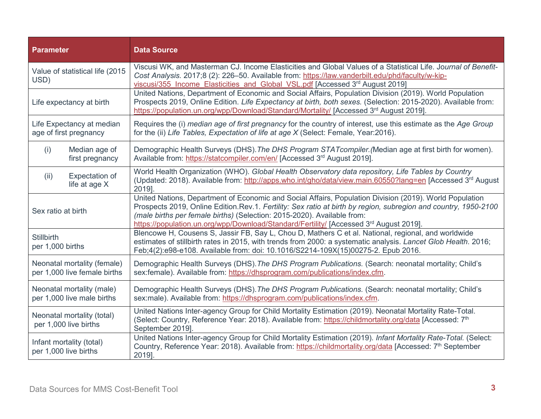| <b>Parameter</b>                                            | <b>Data Source</b>                                                                                                                                                                                                                                                                                                                                                                                          |
|-------------------------------------------------------------|-------------------------------------------------------------------------------------------------------------------------------------------------------------------------------------------------------------------------------------------------------------------------------------------------------------------------------------------------------------------------------------------------------------|
| Value of statistical life (2015)<br>USD)                    | Viscusi WK, and Masterman CJ. Income Elasticities and Global Values of a Statistical Life. Journal of Benefit-<br>Cost Analysis. 2017;8 (2): 226-50. Available from: https://law.vanderbilt.edu/phd/faculty/w-kip-<br>viscusi/355 Income Elasticities and Global VSL.pdf [Accessed 3rd August 2019]                                                                                                         |
| Life expectancy at birth                                    | United Nations, Department of Economic and Social Affairs, Population Division (2019). World Population<br>Prospects 2019, Online Edition. Life Expectancy at birth, both sexes. (Selection: 2015-2020). Available from:<br>https://population.un.org/wpp/Download/Standard/Mortality/ [Accessed 3rd August 2019]                                                                                           |
| Life Expectancy at median<br>age of first pregnancy         | Requires the (i) median age of first pregnancy for the country of interest, use this estimate as the Age Group<br>for the (ii) Life Tables, Expectation of life at age X (Select: Female, Year:2016).                                                                                                                                                                                                       |
| Median age of<br>(i)<br>first pregnancy                     | Demographic Health Surveys (DHS). The DHS Program STAT compiler. (Median age at first birth for women).<br>Available from: https://statcompiler.com/en/ [Accessed 3rd August 2019].                                                                                                                                                                                                                         |
| Expectation of<br>(ii)<br>life at age X                     | World Health Organization (WHO). Global Health Observatory data repository, Life Tables by Country<br>(Updated: 2018). Available from: http://apps.who.int/gho/data/view.main.60550?lang=en [Accessed 3 <sup>rd</sup> August<br>2019].                                                                                                                                                                      |
| Sex ratio at birth                                          | United Nations, Department of Economic and Social Affairs, Population Division (2019). World Population<br>Prospects 2019, Online Edition.Rev.1. Fertility: Sex ratio at birth by region, subregion and country, 1950-2100<br>(male births per female births) (Selection: 2015-2020). Available from:<br>https://population.un.org/wpp/Download/Standard/Fertility/ [Accessed 3 <sup>rd</sup> August 2019]. |
| <b>Stillbirth</b><br>per 1,000 births                       | Blencowe H, Cousens S, Jassir FB, Say L, Chou D, Mathers C et al. National, regional, and worldwide<br>estimates of stillbirth rates in 2015, with trends from 2000: a systematic analysis. Lancet Glob Health. 2016;<br>Feb;4(2):e98-e108. Available from: doi: 10.1016/S2214-109X(15)00275-2. Epub 2016.                                                                                                  |
| Neonatal mortality (female)<br>per 1,000 live female births | Demographic Health Surveys (DHS). The DHS Program Publications. (Search: neonatal mortality; Child's<br>sex:female). Available from: https://dhsprogram.com/publications/index.cfm.                                                                                                                                                                                                                         |
| Neonatal mortality (male)<br>per 1,000 live male births     | Demographic Health Surveys (DHS). The DHS Program Publications. (Search: neonatal mortality; Child's<br>sex:male). Available from: https://dhsprogram.com/publications/index.cfm.                                                                                                                                                                                                                           |
| Neonatal mortality (total)<br>per 1,000 live births         | United Nations Inter-agency Group for Child Mortality Estimation (2019). Neonatal Mortality Rate-Total.<br>(Select: Country, Reference Year: 2018). Available from: https://childmortality.org/data [Accessed: 7 <sup>th</sup><br>September 2019].                                                                                                                                                          |
| Infant mortality (total)<br>per 1,000 live births           | United Nations Inter-agency Group for Child Mortality Estimation (2019). Infant Mortality Rate-Total. (Select:<br>Country, Reference Year: 2018). Available from: https://childmortality.org/data [Accessed: 7 <sup>th</sup> September<br>2019].                                                                                                                                                            |